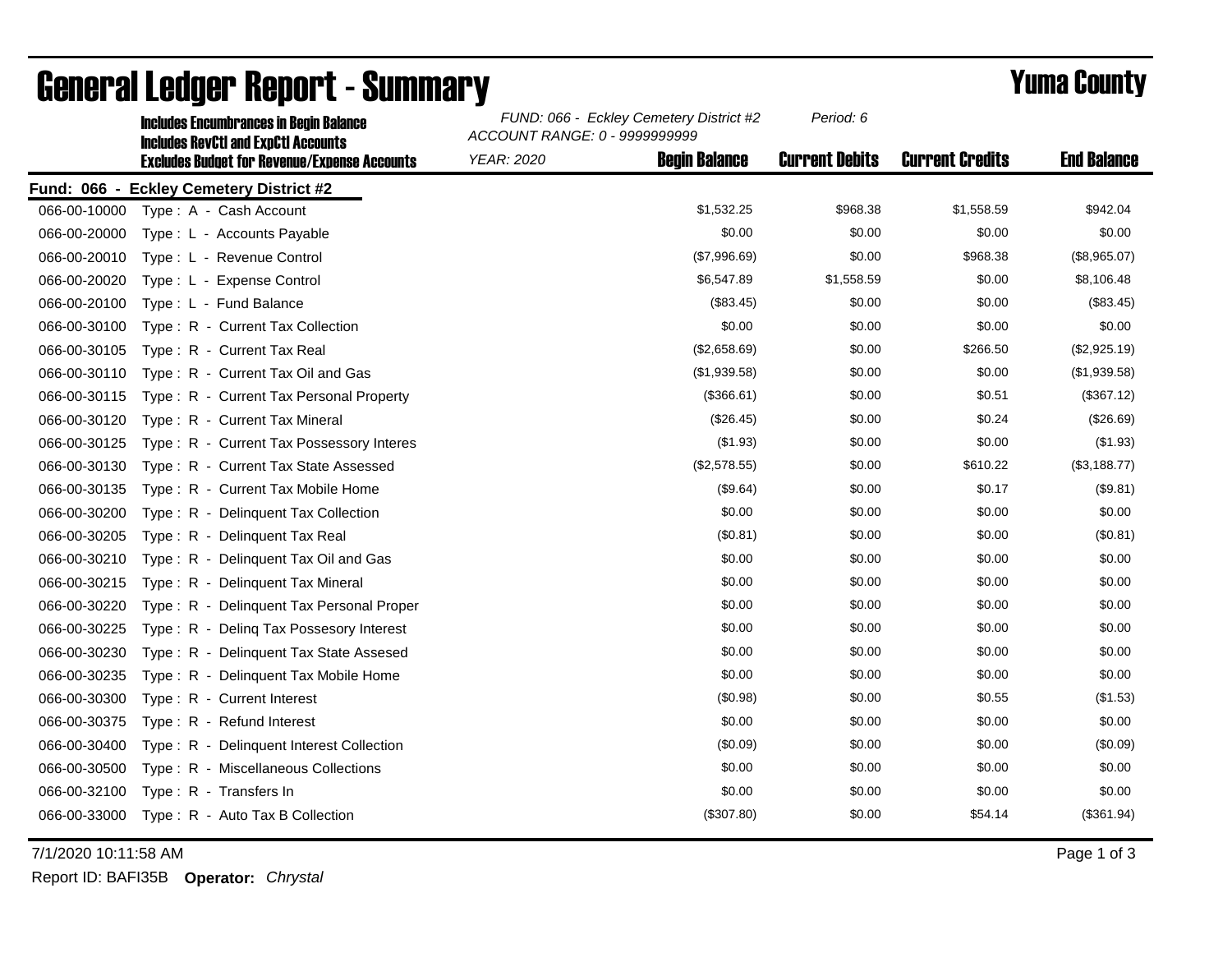|              | <b>Includes Encumbrances in Begin Balance</b><br><b>Includes RevCtI and ExpCtI Accounts</b> | FUND: 066 - Eckley Cemetery District #2<br>ACCOUNT RANGE: 0 - 9999999999 |                      | Period: 6             |                        |                    |
|--------------|---------------------------------------------------------------------------------------------|--------------------------------------------------------------------------|----------------------|-----------------------|------------------------|--------------------|
|              | <b>Excludes Budget for Revenue/Expense Accounts</b>                                         | <b>YEAR: 2020</b>                                                        | <b>Begin Balance</b> | <b>Current Debits</b> | <b>Current Credits</b> | <b>End Balance</b> |
|              | Fund: 066 - Eckley Cemetery District #2                                                     |                                                                          |                      |                       |                        |                    |
| 066-00-10000 | Type: A - Cash Account                                                                      |                                                                          | \$1,532.25           | \$968.38              | \$1,558.59             | \$942.04           |
| 066-00-20000 | Type: L - Accounts Payable                                                                  |                                                                          | \$0.00               | \$0.00                | \$0.00                 | \$0.00             |
| 066-00-20010 | Type: L - Revenue Control                                                                   |                                                                          | (\$7,996.69)         | \$0.00                | \$968.38               | (\$8,965.07)       |
| 066-00-20020 | Type: L - Expense Control                                                                   |                                                                          | \$6,547.89           | \$1,558.59            | \$0.00                 | \$8,106.48         |
| 066-00-20100 | Type: L - Fund Balance                                                                      |                                                                          | (\$83.45)            | \$0.00                | \$0.00                 | (\$83.45)          |
| 066-00-30100 | Type: R - Current Tax Collection                                                            |                                                                          | \$0.00               | \$0.00                | \$0.00                 | \$0.00             |
| 066-00-30105 | Type: R - Current Tax Real                                                                  |                                                                          | (\$2,658.69)         | \$0.00                | \$266.50               | (\$2,925.19)       |
| 066-00-30110 | Type: R - Current Tax Oil and Gas                                                           |                                                                          | (\$1,939.58)         | \$0.00                | \$0.00                 | (\$1,939.58)       |
| 066-00-30115 | Type: R - Current Tax Personal Property                                                     |                                                                          | (\$366.61)           | \$0.00                | \$0.51                 | (\$367.12)         |
| 066-00-30120 | Type: R - Current Tax Mineral                                                               |                                                                          | (\$26.45)            | \$0.00                | \$0.24                 | (\$26.69)          |
| 066-00-30125 | Type: R - Current Tax Possessory Interes                                                    |                                                                          | (\$1.93)             | \$0.00                | \$0.00                 | (\$1.93)           |
| 066-00-30130 | Type: R - Current Tax State Assessed                                                        |                                                                          | (\$2,578.55)         | \$0.00                | \$610.22               | (\$3,188.77)       |
| 066-00-30135 | Type: R - Current Tax Mobile Home                                                           |                                                                          | (\$9.64)             | \$0.00                | \$0.17                 | (\$9.81)           |
| 066-00-30200 | Type: R - Delinquent Tax Collection                                                         |                                                                          | \$0.00               | \$0.00                | \$0.00                 | \$0.00             |
| 066-00-30205 | Type: R - Delinquent Tax Real                                                               |                                                                          | (\$0.81)             | \$0.00                | \$0.00                 | (\$0.81)           |
| 066-00-30210 | Type: R - Delinquent Tax Oil and Gas                                                        |                                                                          | \$0.00               | \$0.00                | \$0.00                 | \$0.00             |
| 066-00-30215 | Type: R - Delinquent Tax Mineral                                                            |                                                                          | \$0.00               | \$0.00                | \$0.00                 | \$0.00             |
| 066-00-30220 | Type: R - Delinguent Tax Personal Proper                                                    |                                                                          | \$0.00               | \$0.00                | \$0.00                 | \$0.00             |
| 066-00-30225 | Type: R - Deling Tax Possesory Interest                                                     |                                                                          | \$0.00               | \$0.00                | \$0.00                 | \$0.00             |
| 066-00-30230 | Type: R - Delinquent Tax State Assesed                                                      |                                                                          | \$0.00               | \$0.00                | \$0.00                 | \$0.00             |
| 066-00-30235 | Type: R - Delinquent Tax Mobile Home                                                        |                                                                          | \$0.00               | \$0.00                | \$0.00                 | \$0.00             |
| 066-00-30300 | Type: R - Current Interest                                                                  |                                                                          | (\$0.98)             | \$0.00                | \$0.55                 | (\$1.53)           |
| 066-00-30375 | Type: R - Refund Interest                                                                   |                                                                          | \$0.00               | \$0.00                | \$0.00                 | \$0.00             |
| 066-00-30400 | Type: R - Delinquent Interest Collection                                                    |                                                                          | (\$0.09)             | \$0.00                | \$0.00                 | (\$0.09)           |
| 066-00-30500 | Type: R - Miscellaneous Collections                                                         |                                                                          | \$0.00               | \$0.00                | \$0.00                 | \$0.00             |
| 066-00-32100 | Type: R - Transfers In                                                                      |                                                                          | \$0.00               | \$0.00                | \$0.00                 | \$0.00             |
| 066-00-33000 | Type: R - Auto Tax B Collection                                                             |                                                                          | (\$307.80)           | \$0.00                | \$54.14                | (\$361.94)         |

## General Ledger Report - Summary **Example 2018** Yuma County

7/1/2020 10:11:58 AM Page 1 of 3

Report ID: BAFI35B **Operator:** *Chrystal*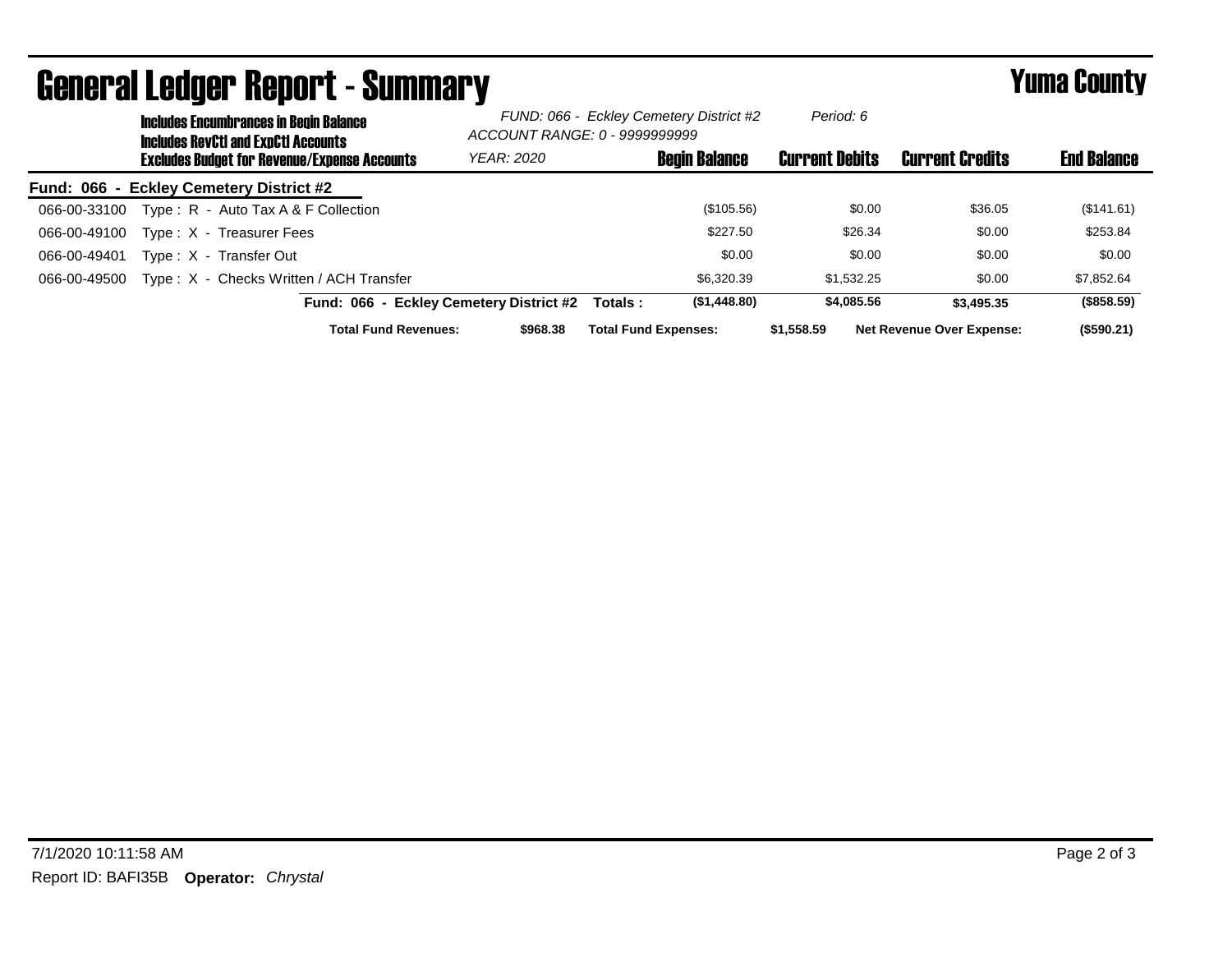| UGIIGI AI LGUYGI HGUUI L´UUIIIIIIAI Y |  |                                                                                             |            |                                                                          | I UHU VVUILT          |                                  |                    |
|---------------------------------------|--|---------------------------------------------------------------------------------------------|------------|--------------------------------------------------------------------------|-----------------------|----------------------------------|--------------------|
|                                       |  | <b>Includes Encumbrances in Begin Balance</b><br><b>Includes RevCtI and ExpCtI Accounts</b> |            | FUND: 066 - Eckley Cemetery District #2<br>ACCOUNT RANGE: 0 - 9999999999 | Period: 6             |                                  |                    |
|                                       |  | <b>Excludes Budget for Revenue/Expense Accounts</b>                                         | YEAR: 2020 | <b>Begin Balance</b>                                                     | <b>Current Debits</b> | <b>Current Credits</b>           | <b>End Balance</b> |
|                                       |  | Fund: 066 - Eckley Cemetery District #2                                                     |            |                                                                          |                       |                                  |                    |
| 066-00-33100                          |  | Type: R - Auto Tax A & F Collection                                                         |            | (\$105.56)                                                               | \$0.00                | \$36.05                          | (\$141.61)         |
| 066-00-49100                          |  | Type: X - Treasurer Fees                                                                    |            | \$227.50                                                                 | \$26.34               | \$0.00                           | \$253.84           |
| 066-00-49401                          |  | Type: X - Transfer Out                                                                      |            | \$0.00                                                                   | \$0.00                | \$0.00                           | \$0.00             |
| 066-00-49500                          |  | Type: X - Checks Written / ACH Transfer                                                     |            | \$6,320,39                                                               | \$1,532.25            | \$0.00                           | \$7,852.64         |
|                                       |  | Fund: 066 - Eckley Cemetery District #2                                                     |            | (\$1,448.80)<br>Totals :                                                 | \$4,085.56            | \$3,495.35                       | (\$858.59)         |
|                                       |  | <b>Total Fund Revenues:</b>                                                                 | \$968.38   | <b>Total Fund Expenses:</b>                                              | \$1,558.59            | <b>Net Revenue Over Expense:</b> | $($ \$590.21)      |

## General Ledger Report - Summary Yuma County